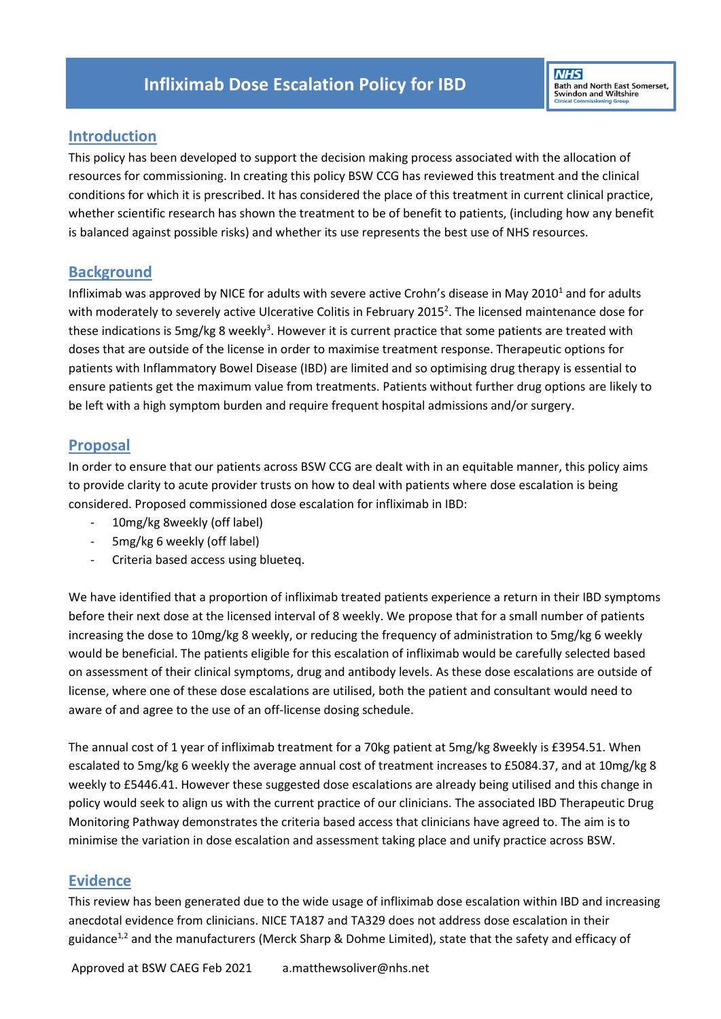## **Introduction**

This policy has been developed to support the decision making process associated with the allocation of resources for commissioning. In creating this policy BSW CCG has reviewed this treatment and the clinical conditions for which it is prescribed. It has considered the place of this treatment in current clinical practice, whether scientific research has shown the treatment to be of benefit to patients, (including how any benefit is balanced against possible risks) and whether its use represents the best use of NHS resources.

#### **Background**

Infliximab was approved by NICE for adults with severe active Crohn's disease in May 2010 $^1$  and for adults with moderately to severely active Ulcerative Colitis in February 2015<sup>2</sup>. The licensed maintenance dose for these indications is 5mg/kg 8 weekly<sup>3</sup>. However it is current practice that some patients are treated with doses that are outside of the license in order to maximise treatment response. Therapeutic options for patients with Inflammatory Bowel Disease (IBD) are limited and so optimising drug therapy is essential to ensure patients get the maximum value from treatments. Patients without further drug options are likely to be left with a high symptom burden and require frequent hospital admissions and/or surgery.

### **Proposal**

In order to ensure that our patients across BSW CCG are dealt with in an equitable manner, this policy aims to provide clarity to acute provider trusts on how to deal with patients where dose escalation is being considered. Proposed commissioned dose escalation for infliximab in IBD:

- 10mg/kg 8weekly (off label)
- 5mg/kg 6 weekly (off label)
- Criteria based access using blueteq.

We have identified that a proportion of infliximab treated patients experience a return in their IBD symptoms before their next dose at the licensed interval of 8 weekly. We propose that for a small number of patients increasing the dose to 10mg/kg 8 weekly, or reducing the frequency of administration to 5mg/kg 6 weekly would be beneficial. The patients eligible for this escalation of infliximab would be carefully selected based on assessment of their clinical symptoms, drug and antibody levels. As these dose escalations are outside of license, where one of these dose escalations are utilised, both the patient and consultant would need to aware of and agree to the use of an off-license dosing schedule.

The annual cost of 1 year of infliximab treatment for a 70kg patient at 5mg/kg 8weekly is £3954.51. When escalated to 5mg/kg 6 weekly the average annual cost of treatment increases to £5084.37, and at 10mg/kg 8 weekly to £5446.41. However these suggested dose escalations are already being utilised and this change in policy would seek to align us with the current practice of our clinicians. The associated IBD Therapeutic Drug Monitoring Pathway demonstrates the criteria based access that clinicians have agreed to. The aim is to minimise the variation in dose escalation and assessment taking place and unify practice across BSW.

# **Evidence**

This review has been generated due to the wide usage of infliximab dose escalation within IBD and increasing anecdotal evidence from clinicians. NICE TA187 and TA329 does not address dose escalation in their guidance<sup>1,2</sup> and the manufacturers (Merck Sharp & Dohme Limited), state that the safety and efficacy of